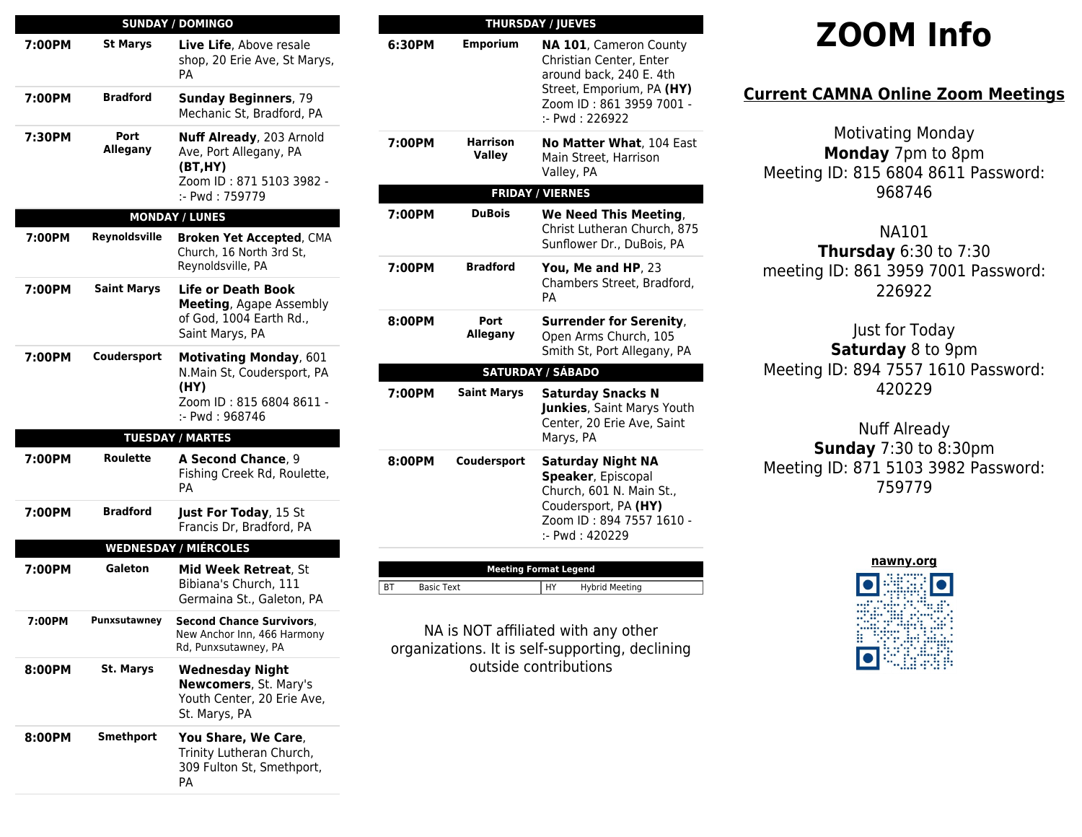| <b>SUNDAY / DOMINGO</b>      |                         |                                                                                                                   |  |  |  |
|------------------------------|-------------------------|-------------------------------------------------------------------------------------------------------------------|--|--|--|
| 7:00PM                       | <b>St Marys</b>         | Live Life, Above resale<br>shop, 20 Erie Ave, St Marys,<br>PA                                                     |  |  |  |
| 7:00PM                       | <b>Bradford</b>         | <b>Sunday Beginners, 79</b><br>Mechanic St, Bradford, PA                                                          |  |  |  |
| 7:30PM                       | Port<br><b>Allegany</b> | Nuff Already, 203 Arnold<br>Ave, Port Allegany, PA<br>(BT,HY)<br>Zoom ID: 871 5103 3982 -<br>:- Pwd: 759779       |  |  |  |
|                              |                         | <b>MONDAY / LUNES</b>                                                                                             |  |  |  |
| 7:00PM                       | Reynoldsville           | <b>Broken Yet Accepted, CMA</b><br>Church, 16 North 3rd St,<br>Reynoldsville, PA                                  |  |  |  |
| 7:00PM                       | <b>Saint Marys</b>      | <b>Life or Death Book</b><br>Meeting, Agape Assembly<br>of God, 1004 Earth Rd.,<br>Saint Marys, PA                |  |  |  |
| 7:00PM                       | Coudersport             | <b>Motivating Monday, 601</b><br>N.Main St, Coudersport, PA<br>(HY)<br>Zoom ID: 815 6804 8611 -<br>:- Pwd: 968746 |  |  |  |
|                              |                         | <b>TUESDAY / MARTES</b>                                                                                           |  |  |  |
| 7:00PM                       | Roulette                | <b>A Second Chance, 9</b><br>Fishing Creek Rd, Roulette,<br>PA                                                    |  |  |  |
| 7:00PM                       | <b>Bradford</b>         | Just For Today, 15 St<br>Francis Dr, Bradford, PA                                                                 |  |  |  |
| <b>WEDNESDAY / MIÉRCOLES</b> |                         |                                                                                                                   |  |  |  |
| 7:00PM                       | Galeton                 | <b>Mid Week Retreat, St</b><br>Bibiana's Church, 111<br>Germaina St., Galeton, PA                                 |  |  |  |
| 7:00PM                       | Punxsutawney            | <b>Second Chance Survivors</b><br>New Anchor Inn, 466 Harmony<br>Rd, Punxsutawney, PA                             |  |  |  |
| 8:00PM                       | <b>St. Marys</b>        | <b>Wednesday Night</b><br><b>Newcomers, St. Mary's</b><br>Youth Center, 20 Erie Ave,<br>St. Marys, PA             |  |  |  |
| 8:00PM                       | <b>Smethport</b>        | You Share, We Care,<br>Trinity Lutheran Church,<br>309 Fulton St, Smethport,<br>PA                                |  |  |  |

|                          |                                  | <b>THURSDAY / JUEVES</b>                                                                                                                                       |  |  |  |
|--------------------------|----------------------------------|----------------------------------------------------------------------------------------------------------------------------------------------------------------|--|--|--|
| 6:30PM                   | <b>Emporium</b>                  | <b>NA 101, Cameron County</b><br>Christian Center, Enter<br>around back, 240 E. 4th<br>Street, Emporium, PA (HY)<br>Zoom ID: 861 3959 7001 -<br>:- Pwd: 226922 |  |  |  |
| 7:00PM                   | <b>Harrison</b><br><b>Valley</b> | No Matter What, 104 East<br>Main Street. Harrison<br>Valley, PA                                                                                                |  |  |  |
|                          |                                  | <b>FRIDAY / VIERNES</b>                                                                                                                                        |  |  |  |
| 7:00PM                   | <b>DuBois</b>                    | We Need This Meeting,<br>Christ Lutheran Church, 875<br>Sunflower Dr., DuBois, PA                                                                              |  |  |  |
| 7:00PM                   | <b>Bradford</b>                  | You, Me and HP, 23<br>Chambers Street, Bradford,<br>PА                                                                                                         |  |  |  |
| 8:00PM                   | Port<br><b>Allegany</b>          | <b>Surrender for Serenity,</b><br>Open Arms Church, 105<br>Smith St, Port Allegany, PA                                                                         |  |  |  |
| <b>SATURDAY / SÁBADO</b> |                                  |                                                                                                                                                                |  |  |  |
| 7:00PM                   | <b>Saint Marys</b>               | <b>Saturday Snacks N</b><br>Junkies, Saint Marys Youth<br>Center, 20 Erie Ave, Saint<br>Marys, PA                                                              |  |  |  |
| 8:00PM                   | Coudersport                      | <b>Saturday Night NA</b><br>Speaker, Episcopal<br>Church, 601 N. Main St.,<br>Coudersport, PA (HY)<br>Zoom ID: 894 7557 1610 -<br>:- Pwd: 420229               |  |  |  |

| ВT<br><b>Hybrid Meeting</b><br>Н١<br>Basic Text | <b>Meeting Format Legend</b> |  |  |  |  |  |  |
|-------------------------------------------------|------------------------------|--|--|--|--|--|--|
|                                                 |                              |  |  |  |  |  |  |

NA is NOT affiliated with any other organizations. It is self-supporting, declining outside contributions

# **ZOOM Info**

#### **Current CAMNA Online Zoom Meetings**

Motivating Monday **Monday** 7pm to 8pm Meeting ID: 815 6804 8611 Password: 968746

#### NA101 **Thursday** 6:30 to 7:30 meeting ID: 861 3959 7001 Password: 226922

#### Just for Today **Saturday** 8 to 9pm Meeting ID: 894 7557 1610 Password: 420229

Nuff Already **Sunday** 7:30 to 8:30pm Meeting ID: 871 5103 3982 Password: 759779